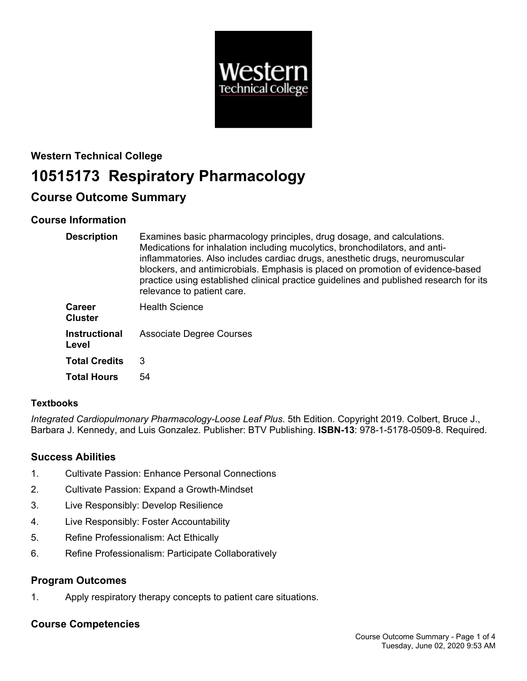

## **Western Technical College**

# **10515173 Respiratory Pharmacology**

## **Course Outcome Summary**

## **Course Information**

| <b>Description</b>              | Examines basic pharmacology principles, drug dosage, and calculations.<br>Medications for inhalation including mucolytics, bronchodilators, and anti-<br>inflammatories. Also includes cardiac drugs, anesthetic drugs, neuromuscular<br>blockers, and antimicrobials. Emphasis is placed on promotion of evidence-based<br>practice using established clinical practice guidelines and published research for its<br>relevance to patient care. |
|---------------------------------|--------------------------------------------------------------------------------------------------------------------------------------------------------------------------------------------------------------------------------------------------------------------------------------------------------------------------------------------------------------------------------------------------------------------------------------------------|
| <b>Career</b><br><b>Cluster</b> | <b>Health Science</b>                                                                                                                                                                                                                                                                                                                                                                                                                            |
| <b>Instructional</b><br>Level   | <b>Associate Degree Courses</b>                                                                                                                                                                                                                                                                                                                                                                                                                  |
| <b>Total Credits</b>            | 3                                                                                                                                                                                                                                                                                                                                                                                                                                                |
| <b>Total Hours</b>              | 54                                                                                                                                                                                                                                                                                                                                                                                                                                               |

## **Textbooks**

*Integrated Cardiopulmonary Pharmacology-Loose Leaf Plus*. 5th Edition. Copyright 2019. Colbert, Bruce J., Barbara J. Kennedy, and Luis Gonzalez. Publisher: BTV Publishing. **ISBN-13**: 978-1-5178-0509-8. Required.

## **Success Abilities**

- 1. Cultivate Passion: Enhance Personal Connections
- 2. Cultivate Passion: Expand a Growth-Mindset
- 3. Live Responsibly: Develop Resilience
- 4. Live Responsibly: Foster Accountability
- 5. Refine Professionalism: Act Ethically
- 6. Refine Professionalism: Participate Collaboratively

## **Program Outcomes**

1. Apply respiratory therapy concepts to patient care situations.

## **Course Competencies**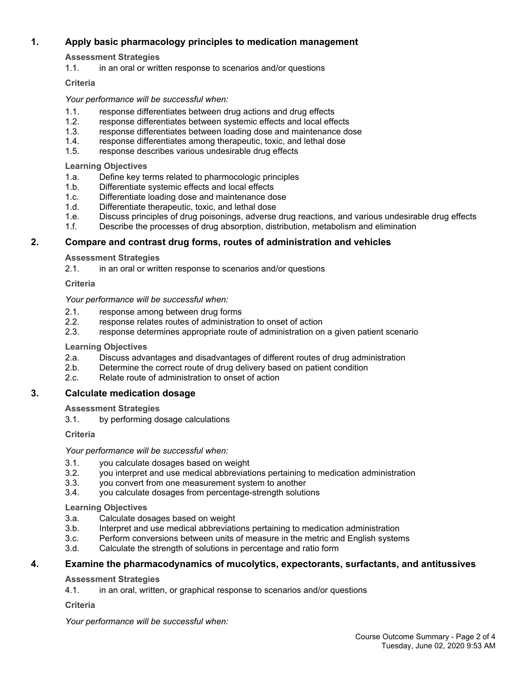## **1. Apply basic pharmacology principles to medication management**

**Assessment Strategies**

1.1. in an oral or written response to scenarios and/or questions

#### **Criteria**

*Your performance will be successful when:*

- 1.1. response differentiates between drug actions and drug effects
- 1.2. response differentiates between systemic effects and local effects
- 1.3. response differentiates between loading dose and maintenance dose
- 1.4. response differentiates among therapeutic, toxic, and lethal dose<br>1.5. response describes various undesirable drug effects
- response describes various undesirable drug effects

**Learning Objectives**

- 1.a. Define key terms related to pharmocologic principles
- 1.b. Differentiate systemic effects and local effects
- 1.c. Differentiate loading dose and maintenance dose
- 1.d. Differentiate therapeutic, toxic, and lethal dose
- 1.e. Discuss principles of drug poisonings, adverse drug reactions, and various undesirable drug effects
- 1.f. Describe the processes of drug absorption, distribution, metabolism and elimination

#### **2. Compare and contrast drug forms, routes of administration and vehicles**

#### **Assessment Strategies**

2.1. in an oral or written response to scenarios and/or questions

**Criteria**

#### *Your performance will be successful when:*

- 2.1. response among between drug forms<br>2.2. response relates routes of administrat
- response relates routes of administration to onset of action
- 2.3. response determines appropriate route of administration on a given patient scenario

#### **Learning Objectives**

- 2.a. Discuss advantages and disadvantages of different routes of drug administration
- 2.b. Determine the correct route of drug delivery based on patient condition
- 2.c. Relate route of administration to onset of action

## **3. Calculate medication dosage**

#### **Assessment Strategies**

3.1. by performing dosage calculations

#### **Criteria**

*Your performance will be successful when:*

- 3.1. you calculate dosages based on weight
- 3.2. you interpret and use medical abbreviations pertaining to medication administration
- 3.3. you convert from one measurement system to another
- 3.4. you calculate dosages from percentage-strength solutions

#### **Learning Objectives**

- 3.a. Calculate dosages based on weight
- 3.b. Interpret and use medical abbreviations pertaining to medication administration
- 3.c. Perform conversions between units of measure in the metric and English systems
- 3.d. Calculate the strength of solutions in percentage and ratio form

## **4. Examine the pharmacodynamics of mucolytics, expectorants, surfactants, and antitussives**

#### **Assessment Strategies**

4.1. in an oral, written, or graphical response to scenarios and/or questions

#### **Criteria**

*Your performance will be successful when:*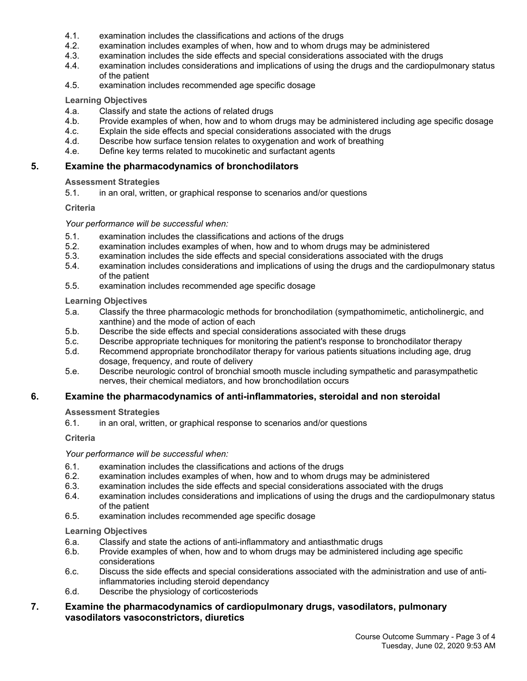- 4.1. examination includes the classifications and actions of the drugs
- 4.2. examination includes examples of when, how and to whom drugs may be administered
- 4.3. examination includes the side effects and special considerations associated with the drugs
- 4.4. examination includes considerations and implications of using the drugs and the cardiopulmonary status of the patient
- 4.5. examination includes recommended age specific dosage

#### **Learning Objectives**

- 4.a. Classify and state the actions of related drugs
- 4.b. Provide examples of when, how and to whom drugs may be administered including age specific dosage
- 4.c. Explain the side effects and special considerations associated with the drugs
- 4.d. Describe how surface tension relates to oxygenation and work of breathing
- 4.e. Define key terms related to mucokinetic and surfactant agents

#### **5. Examine the pharmacodynamics of bronchodilators**

#### **Assessment Strategies**

5.1. in an oral, written, or graphical response to scenarios and/or questions

#### **Criteria**

#### *Your performance will be successful when:*

- 5.1. examination includes the classifications and actions of the drugs
- 5.2. examination includes examples of when, how and to whom drugs may be administered
- 5.3. examination includes the side effects and special considerations associated with the drugs
- 5.4. examination includes considerations and implications of using the drugs and the cardiopulmonary status of the patient
- 5.5. examination includes recommended age specific dosage

#### **Learning Objectives**

- 5.a. Classify the three pharmacologic methods for bronchodilation (sympathomimetic, anticholinergic, and xanthine) and the mode of action of each
- 5.b. Describe the side effects and special considerations associated with these drugs
- 5.c. Describe appropriate techniques for monitoring the patient's response to bronchodilator therapy<br>5.d. Recommend appropriate bronchodilator therapy for various patients situations including age. dru
- Recommend appropriate bronchodilator therapy for various patients situations including age, drug dosage, frequency, and route of delivery
- 5.e. Describe neurologic control of bronchial smooth muscle including sympathetic and parasympathetic nerves, their chemical mediators, and how bronchodilation occurs

#### **6. Examine the pharmacodynamics of anti-inflammatories, steroidal and non steroidal**

#### **Assessment Strategies**

6.1. in an oral, written, or graphical response to scenarios and/or questions

#### **Criteria**

*Your performance will be successful when:*

- 6.1. examination includes the classifications and actions of the drugs
- 6.2. examination includes examples of when, how and to whom drugs may be administered
- 6.3. examination includes the side effects and special considerations associated with the drugs
- 6.4. examination includes considerations and implications of using the drugs and the cardiopulmonary status of the patient
- 6.5. examination includes recommended age specific dosage

#### **Learning Objectives**

- 6.a. Classify and state the actions of anti-inflammatory and antiasthmatic drugs
- 6.b. Provide examples of when, how and to whom drugs may be administered including age specific considerations
- 6.c. Discuss the side effects and special considerations associated with the administration and use of antiinflammatories including steroid dependancy
- 6.d. Describe the physiology of corticosteriods

## **7. Examine the pharmacodynamics of cardiopulmonary drugs, vasodilators, pulmonary vasodilators vasoconstrictors, diuretics**